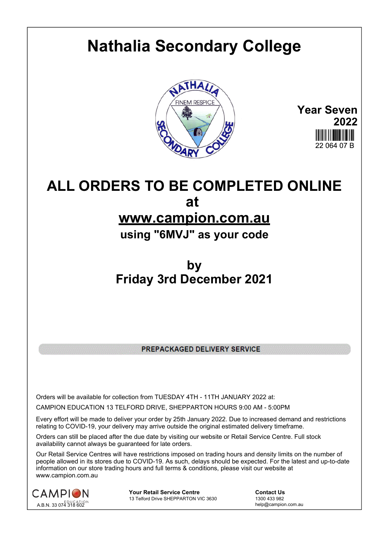## **Nathalia Secondary College**



**Year Seven 2022** 22 064 07 B

## **ALL ORDERS TO BE COMPLETED ONLINE at**

## **www.campion.com.au**

**using "6MVJ" as your code**

## **by Friday 3rd December 2021**

PREPACKAGED DELIVERY SERVICE

Orders will be available for collection from TUESDAY 4TH - 11TH JANUARY 2022 at:

CAMPION EDUCATION 13 TELFORD DRIVE, SHEPPARTON HOURS 9:00 AM - 5:00PM

Every effort will be made to deliver your order by 25th January 2022. Due to increased demand and restrictions relating to COVID-19, your delivery may arrive outside the original estimated delivery timeframe.

Orders can still be placed after the due date by visiting our website or Retail Service Centre. Full stock availability cannot always be quaranteed for late orders.

Our Retail Service Centres will have restrictions imposed on trading hours and density limits on the number of people allowed in its stores due to COVID-19. As such, delays should be expected. For the latest and up-to-date information on our store trading hours and full terms & conditions, please visit our website at www.campion.com.au



**Your Retail Service Centre Contact Us**13 Telford Drive SHEPPARTON VIC 3630

1300 433 982 13 Telford Drive SHEPPARTON VIC 3630

help@campion.com.au